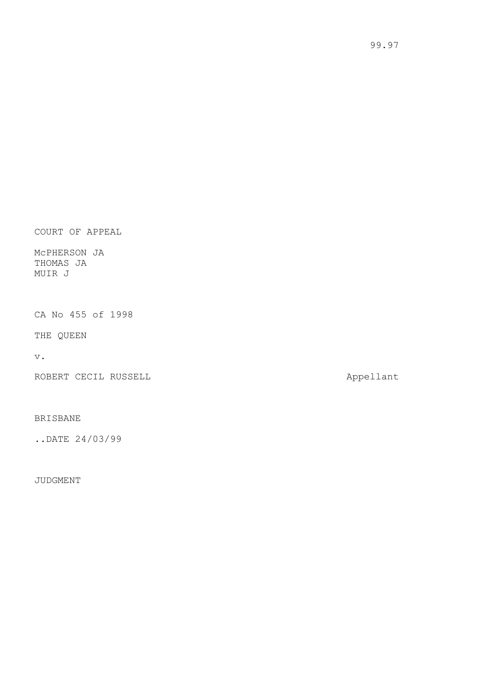COURT OF APPEAL

McPHERSON JA THOMAS JA MUIR J

CA No 455 of 1998

THE QUEEN

v.

ROBERT CECIL RUSSELL **Appellant** 

BRISBANE

..DATE 24/03/99

JUDGMENT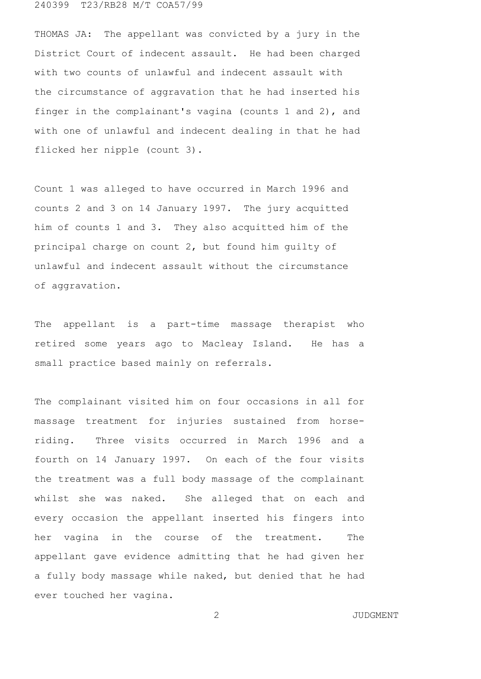240399 T23/RB28 M/T COA57/99

THOMAS JA: The appellant was convicted by a jury in the District Court of indecent assault. He had been charged with two counts of unlawful and indecent assault with the circumstance of aggravation that he had inserted his finger in the complainant's vagina (counts 1 and 2), and with one of unlawful and indecent dealing in that he had flicked her nipple (count 3).

Count 1 was alleged to have occurred in March 1996 and counts 2 and 3 on 14 January 1997. The jury acquitted him of counts 1 and 3. They also acquitted him of the principal charge on count 2, but found him guilty of unlawful and indecent assault without the circumstance of aggravation.

The appellant is a part-time massage therapist who retired some years ago to Macleay Island. He has a small practice based mainly on referrals.

The complainant visited him on four occasions in all for massage treatment for injuries sustained from horseriding. Three visits occurred in March 1996 and a fourth on 14 January 1997. On each of the four visits the treatment was a full body massage of the complainant whilst she was naked. She alleged that on each and every occasion the appellant inserted his fingers into her vagina in the course of the treatment. The appellant gave evidence admitting that he had given her a fully body massage while naked, but denied that he had ever touched her vagina.

2 JUDGMENT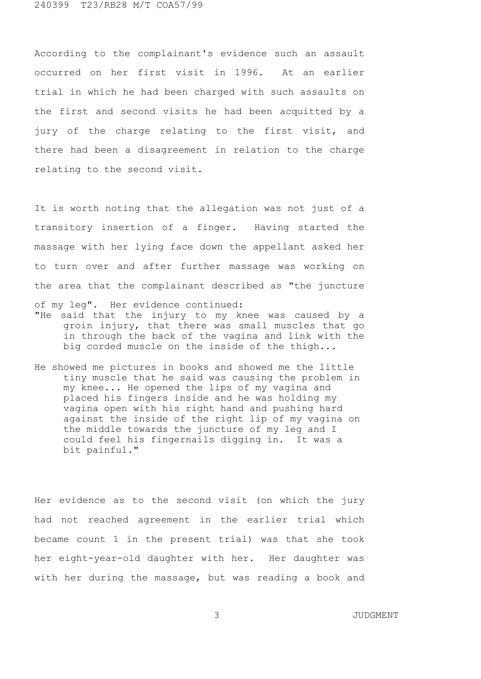According to the complainant's evidence such an assault occurred on her first visit in 1996. At an earlier trial in which he had been charged with such assaults on the first and second visits he had been acquitted by a jury of the charge relating to the first visit, and there had been a disagreement in relation to the charge relating to the second visit.

It is worth noting that the allegation was not just of a transitory insertion of a finger. Having started the massage with her lying face down the appellant asked her to turn over and after further massage was working on the area that the complainant described as "the juncture of my leg". Her evidence continued:

- "He said that the injury to my knee was caused by a groin injury, that there was small muscles that go in through the back of the vagina and link with the big corded muscle on the inside of the thigh...
- He showed me pictures in books and showed me the little tiny muscle that he said was causing the problem in my knee... He opened the lips of my vagina and placed his fingers inside and he was holding my vagina open with his right hand and pushing hard against the inside of the right lip of my vagina on the middle towards the juncture of my leg and I could feel his fingernails digging in. It was a bit painful."

Her evidence as to the second visit (on which the jury had not reached agreement in the earlier trial which became count 1 in the present trial) was that she took her eight-year-old daughter with her. Her daughter was with her during the massage, but was reading a book and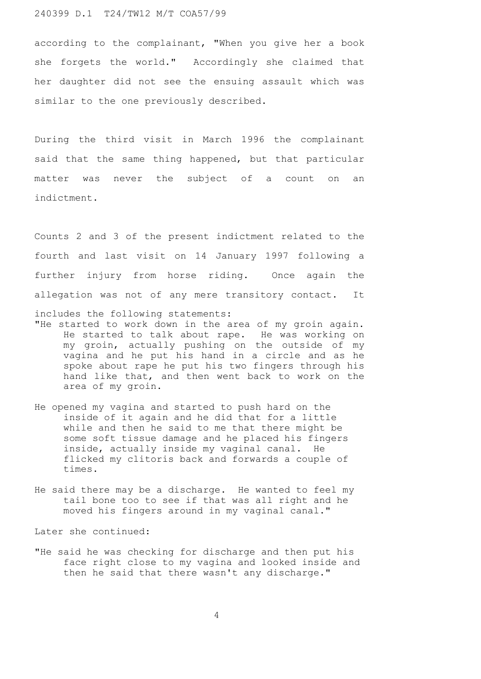## 240399 D.1 T24/TW12 M/T COA57/99

according to the complainant, "When you give her a book she forgets the world." Accordingly she claimed that her daughter did not see the ensuing assault which was similar to the one previously described.

During the third visit in March 1996 the complainant said that the same thing happened, but that particular matter was never the subject of a count on an indictment.

Counts 2 and 3 of the present indictment related to the fourth and last visit on 14 January 1997 following a further injury from horse riding. Once again the allegation was not of any mere transitory contact. It includes the following statements:

- "He started to work down in the area of my groin again. He started to talk about rape. He was working on my groin, actually pushing on the outside of my vagina and he put his hand in a circle and as he spoke about rape he put his two fingers through his hand like that, and then went back to work on the area of my groin.
- He opened my vagina and started to push hard on the inside of it again and he did that for a little while and then he said to me that there might be some soft tissue damage and he placed his fingers inside, actually inside my vaginal canal. He flicked my clitoris back and forwards a couple of times.
- He said there may be a discharge. He wanted to feel my tail bone too to see if that was all right and he moved his fingers around in my vaginal canal."

Later she continued:

"He said he was checking for discharge and then put his face right close to my vagina and looked inside and then he said that there wasn't any discharge."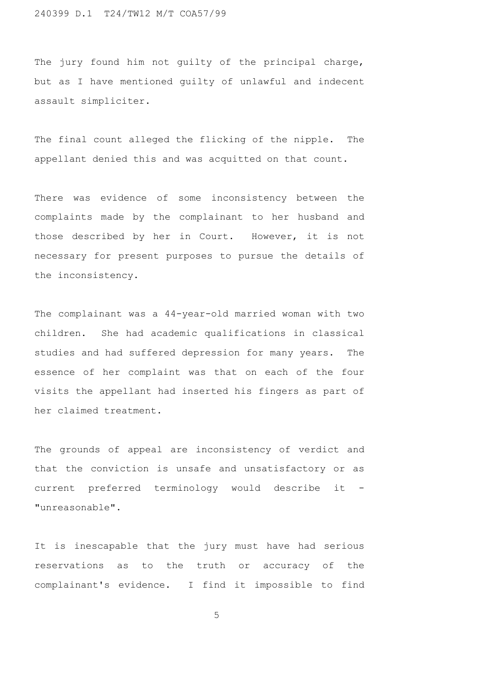The jury found him not guilty of the principal charge, but as I have mentioned guilty of unlawful and indecent assault simpliciter.

The final count alleged the flicking of the nipple. The appellant denied this and was acquitted on that count.

There was evidence of some inconsistency between the complaints made by the complainant to her husband and those described by her in Court. However, it is not necessary for present purposes to pursue the details of the inconsistency.

The complainant was a 44-year-old married woman with two children. She had academic qualifications in classical studies and had suffered depression for many years. The essence of her complaint was that on each of the four visits the appellant had inserted his fingers as part of her claimed treatment.

The grounds of appeal are inconsistency of verdict and that the conviction is unsafe and unsatisfactory or as current preferred terminology would describe it - "unreasonable".

It is inescapable that the jury must have had serious reservations as to the truth or accuracy of the complainant's evidence. I find it impossible to find

5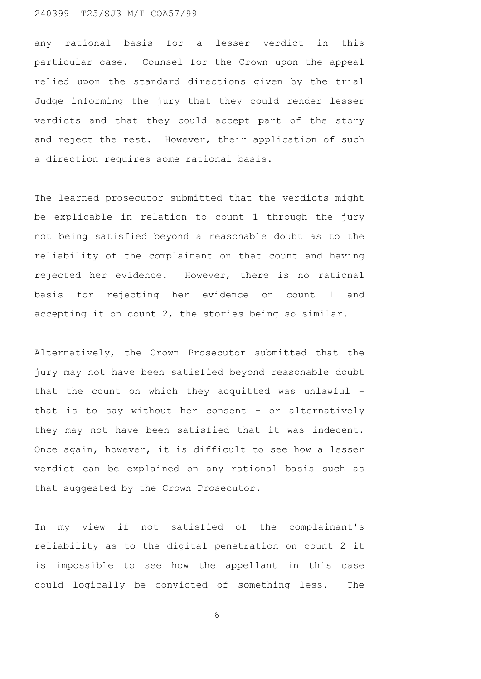## 240399 T25/SJ3 M/T COA57/99

any rational basis for a lesser verdict in this particular case. Counsel for the Crown upon the appeal relied upon the standard directions given by the trial Judge informing the jury that they could render lesser verdicts and that they could accept part of the story and reject the rest. However, their application of such a direction requires some rational basis.

The learned prosecutor submitted that the verdicts might be explicable in relation to count 1 through the jury not being satisfied beyond a reasonable doubt as to the reliability of the complainant on that count and having rejected her evidence. However, there is no rational basis for rejecting her evidence on count 1 and accepting it on count 2, the stories being so similar.

Alternatively, the Crown Prosecutor submitted that the jury may not have been satisfied beyond reasonable doubt that the count on which they acquitted was unlawful that is to say without her consent - or alternatively they may not have been satisfied that it was indecent. Once again, however, it is difficult to see how a lesser verdict can be explained on any rational basis such as that suggested by the Crown Prosecutor.

In my view if not satisfied of the complainant's reliability as to the digital penetration on count 2 it is impossible to see how the appellant in this case could logically be convicted of something less. The

6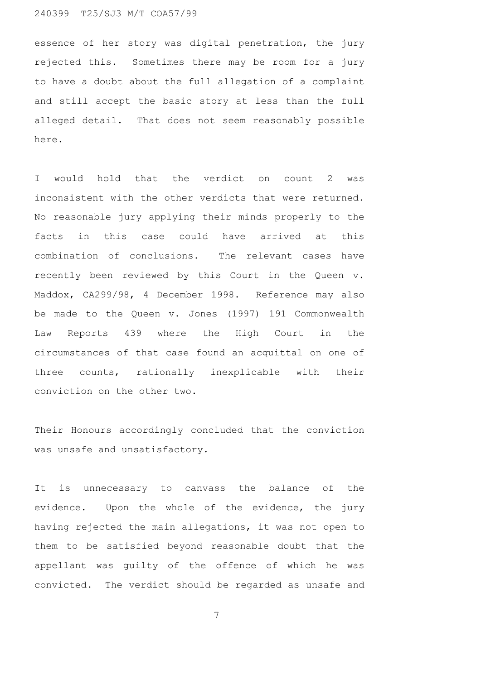## 240399 T25/SJ3 M/T COA57/99

essence of her story was digital penetration, the jury rejected this. Sometimes there may be room for a jury to have a doubt about the full allegation of a complaint and still accept the basic story at less than the full alleged detail. That does not seem reasonably possible here.

I would hold that the verdict on count 2 was inconsistent with the other verdicts that were returned. No reasonable jury applying their minds properly to the facts in this case could have arrived at this combination of conclusions. The relevant cases have recently been reviewed by this Court in the Queen v. Maddox, CA299/98, 4 December 1998. Reference may also be made to the Queen v. Jones (1997) 191 Commonwealth Law Reports 439 where the High Court in the circumstances of that case found an acquittal on one of three counts, rationally inexplicable with their conviction on the other two.

Their Honours accordingly concluded that the conviction was unsafe and unsatisfactory.

It is unnecessary to canvass the balance of the evidence. Upon the whole of the evidence, the jury having rejected the main allegations, it was not open to them to be satisfied beyond reasonable doubt that the appellant was guilty of the offence of which he was convicted. The verdict should be regarded as unsafe and

7